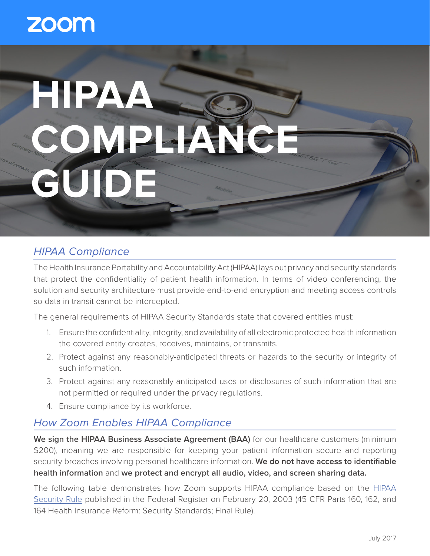# **ZOOM**

# **HIPAA COMPLIAN GUIDE**

# *HIPAA Compliance*

The Health Insurance Portability and Accountability Act (HIPAA) lays out privacy and security standards that protect the confidentiality of patient health information. In terms of video conferencing, the solution and security architecture must provide end-to-end encryption and meeting access controls so data in transit cannot be intercepted.

The general requirements of HIPAA Security Standards state that covered entities must:

- 1. Ensure the confidentiality, integrity, and availability of all electronic protected health information the covered entity creates, receives, maintains, or transmits.
- 2. Protect against any reasonably-anticipated threats or hazards to the security or integrity of such information.
- 3. Protect against any reasonably-anticipated uses or disclosures of such information that are not permitted or required under the privacy regulations.
- 4. Ensure compliance by its workforce.

# *How Zoom Enables HIPAA Compliance*

We sign the HIPAA Business Associate Agreement (BAA) for our healthcare customers (minimum \$200), meaning we are responsible for keeping your patient information secure and reporting security breaches involving personal healthcare information. **We do not have access to identifiable health information** and **we protect and encrypt all audio, video, and screen sharing data.**

The following table demonstrates how Zoom supports HIPAA compliance based on the HIPAA Security Rule published in the Federal Register on February 20, 2003 (45 CFR Parts 160, 162, and 164 Health Insurance Reform: Security Standards; Final Rule).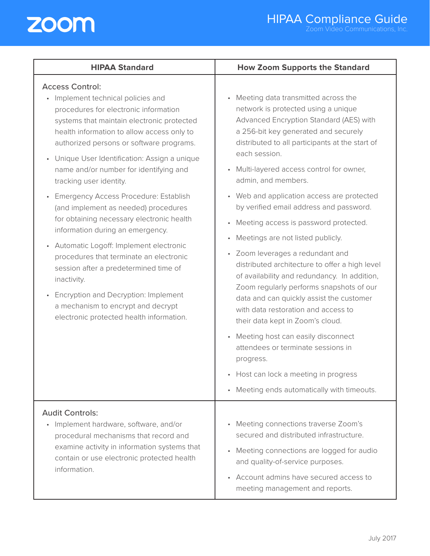

| <b>HIPAA Standard</b>                                                                                                                                                                                                                                                                                                                                                                                                                                                                                                                                                                                                                                                                                                                                                                                                                | <b>How Zoom Supports the Standard</b>                                                                                                                                                                                                                                                                                                                                                                                                                                                                                                                                                                                                                                                                                                                                                                                                                                                                                                                                     |
|--------------------------------------------------------------------------------------------------------------------------------------------------------------------------------------------------------------------------------------------------------------------------------------------------------------------------------------------------------------------------------------------------------------------------------------------------------------------------------------------------------------------------------------------------------------------------------------------------------------------------------------------------------------------------------------------------------------------------------------------------------------------------------------------------------------------------------------|---------------------------------------------------------------------------------------------------------------------------------------------------------------------------------------------------------------------------------------------------------------------------------------------------------------------------------------------------------------------------------------------------------------------------------------------------------------------------------------------------------------------------------------------------------------------------------------------------------------------------------------------------------------------------------------------------------------------------------------------------------------------------------------------------------------------------------------------------------------------------------------------------------------------------------------------------------------------------|
| <b>Access Control:</b><br>• Implement technical policies and<br>procedures for electronic information<br>systems that maintain electronic protected<br>health information to allow access only to<br>authorized persons or software programs.<br>Unique User Identification: Assign a unique<br>name and/or number for identifying and<br>tracking user identity.<br>Emergency Access Procedure: Establish<br>(and implement as needed) procedures<br>for obtaining necessary electronic health<br>information during an emergency.<br>Automatic Logoff: Implement electronic<br>$\bullet$<br>procedures that terminate an electronic<br>session after a predetermined time of<br>inactivity.<br>Encryption and Decryption: Implement<br>$\bullet$<br>a mechanism to encrypt and decrypt<br>electronic protected health information. | Meeting data transmitted across the<br>$\bullet$<br>network is protected using a unique<br>Advanced Encryption Standard (AES) with<br>a 256-bit key generated and securely<br>distributed to all participants at the start of<br>each session.<br>Multi-layered access control for owner,<br>admin, and members.<br>• Web and application access are protected<br>by verified email address and password.<br>Meeting access is password protected.<br>$\bullet$<br>Meetings are not listed publicly.<br>$\bullet$<br>• Zoom leverages a redundant and<br>distributed architecture to offer a high level<br>of availability and redundancy. In addition,<br>Zoom regularly performs snapshots of our<br>data and can quickly assist the customer<br>with data restoration and access to<br>their data kept in Zoom's cloud.<br>Meeting host can easily disconnect<br>$\bullet$<br>attendees or terminate sessions in<br>progress.<br>• Host can lock a meeting in progress |
|                                                                                                                                                                                                                                                                                                                                                                                                                                                                                                                                                                                                                                                                                                                                                                                                                                      | Meeting ends automatically with timeouts.<br>$\bullet$                                                                                                                                                                                                                                                                                                                                                                                                                                                                                                                                                                                                                                                                                                                                                                                                                                                                                                                    |
| <b>Audit Controls:</b><br>Implement hardware, software, and/or<br>procedural mechanisms that record and<br>examine activity in information systems that<br>contain or use electronic protected health<br>information.                                                                                                                                                                                                                                                                                                                                                                                                                                                                                                                                                                                                                | Meeting connections traverse Zoom's<br>secured and distributed infrastructure.<br>Meeting connections are logged for audio<br>$\bullet$<br>and quality-of-service purposes.<br>Account admins have secured access to<br>$\bullet$<br>meeting management and reports.                                                                                                                                                                                                                                                                                                                                                                                                                                                                                                                                                                                                                                                                                                      |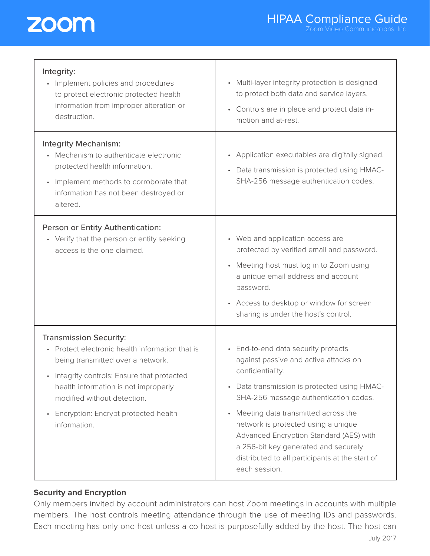

| Integrity:<br>Implement policies and procedures<br>$\bullet$<br>to protect electronic protected health<br>information from improper alteration or<br>destruction.                                                                                                                                                           | Multi-layer integrity protection is designed<br>to protect both data and service layers.<br>• Controls are in place and protect data in-<br>motion and at-rest.                                                                                                                                                                                                                                                                           |
|-----------------------------------------------------------------------------------------------------------------------------------------------------------------------------------------------------------------------------------------------------------------------------------------------------------------------------|-------------------------------------------------------------------------------------------------------------------------------------------------------------------------------------------------------------------------------------------------------------------------------------------------------------------------------------------------------------------------------------------------------------------------------------------|
| Integrity Mechanism:<br>Mechanism to authenticate electronic<br>protected health information.<br>Implement methods to corroborate that<br>$\bullet$<br>information has not been destroyed or<br>altered.                                                                                                                    | Application executables are digitally signed.<br>Data transmission is protected using HMAC-<br>SHA-256 message authentication codes.                                                                                                                                                                                                                                                                                                      |
| Person or Entity Authentication:<br>• Verify that the person or entity seeking<br>access is the one claimed.                                                                                                                                                                                                                | • Web and application access are<br>protected by verified email and password.<br>• Meeting host must log in to Zoom using<br>a unique email address and account<br>password.<br>• Access to desktop or window for screen<br>sharing is under the host's control.                                                                                                                                                                          |
| <b>Transmission Security:</b><br>Protect electronic health information that is<br>$\bullet$<br>being transmitted over a network.<br>• Integrity controls: Ensure that protected<br>health information is not improperly<br>modified without detection.<br>Encryption: Encrypt protected health<br>$\bullet$<br>information. | • End-to-end data security protects<br>against passive and active attacks on<br>confidentiality.<br>Data transmission is protected using HMAC-<br>$\bullet$<br>SHA-256 message authentication codes.<br>Meeting data transmitted across the<br>network is protected using a unique<br>Advanced Encryption Standard (AES) with<br>a 256-bit key generated and securely<br>distributed to all participants at the start of<br>each session. |

### **Security and Encryption**

Only members invited by account administrators can host Zoom meetings in accounts with multiple members. The host controls meeting attendance through the use of meeting IDs and passwords. Each meeting has only one host unless a co-host is purposefully added by the host. The host can